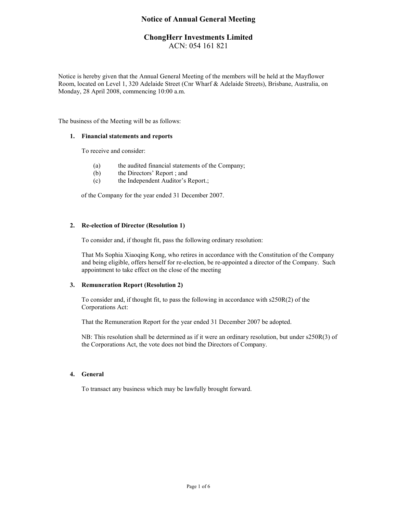# Notice of Annual General Meeting

# ChongHerr Investments Limited ACN: 054 161 821

Notice is hereby given that the Annual General Meeting of the members will be held at the Mayflower Room, located on Level 1, 320 Adelaide Street (Cnr Wharf & Adelaide Streets), Brisbane, Australia, on Monday, 28 April 2008, commencing 10:00 a.m.

The business of the Meeting will be as follows:

### 1. Financial statements and reports

To receive and consider:

- (a) the audited financial statements of the Company;
- (b) the Directors' Report ; and
- (c) the Independent Auditor's Report.;

of the Company for the year ended 31 December 2007.

## 2. Re-election of Director (Resolution 1)

To consider and, if thought fit, pass the following ordinary resolution:

That Ms Sophia Xiaoqing Kong, who retires in accordance with the Constitution of the Company and being eligible, offers herself for re-election, be re-appointed a director of the Company. Such appointment to take effect on the close of the meeting

## 3. Remuneration Report (Resolution 2)

To consider and, if thought fit, to pass the following in accordance with s250R(2) of the Corporations Act:

That the Remuneration Report for the year ended 31 December 2007 be adopted.

NB: This resolution shall be determined as if it were an ordinary resolution, but under s250R(3) of the Corporations Act, the vote does not bind the Directors of Company.

## 4. General

To transact any business which may be lawfully brought forward.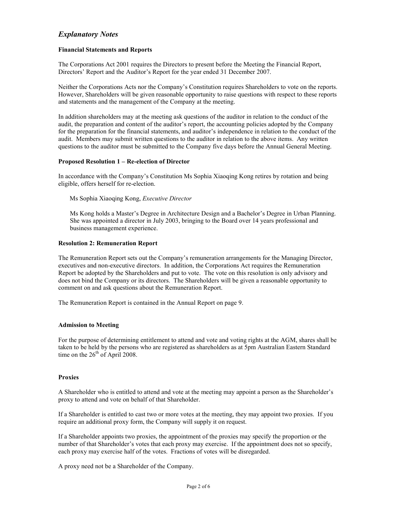# Explanatory Notes

## Financial Statements and Reports

The Corporations Act 2001 requires the Directors to present before the Meeting the Financial Report, Directors' Report and the Auditor's Report for the year ended 31 December 2007.

Neither the Corporations Acts nor the Company's Constitution requires Shareholders to vote on the reports. However, Shareholders will be given reasonable opportunity to raise questions with respect to these reports and statements and the management of the Company at the meeting.

In addition shareholders may at the meeting ask questions of the auditor in relation to the conduct of the audit, the preparation and content of the auditor's report, the accounting policies adopted by the Company for the preparation for the financial statements, and auditor's independence in relation to the conduct of the audit. Members may submit written questions to the auditor in relation to the above items. Any written questions to the auditor must be submitted to the Company five days before the Annual General Meeting.

## Proposed Resolution 1 – Re-election of Director

In accordance with the Company's Constitution Ms Sophia Xiaoqing Kong retires by rotation and being eligible, offers herself for re-election.

Ms Sophia Xiaoqing Kong, Executive Director

Ms Kong holds a Master's Degree in Architecture Design and a Bachelor's Degree in Urban Planning. She was appointed a director in July 2003, bringing to the Board over 14 years professional and business management experience.

## Resolution 2: Remuneration Report

The Remuneration Report sets out the Company's remuneration arrangements for the Managing Director, executives and non-executive directors. In addition, the Corporations Act requires the Remuneration Report be adopted by the Shareholders and put to vote. The vote on this resolution is only advisory and does not bind the Company or its directors. The Shareholders will be given a reasonable opportunity to comment on and ask questions about the Remuneration Report.

The Remuneration Report is contained in the Annual Report on page 9.

### Admission to Meeting

For the purpose of determining entitlement to attend and vote and voting rights at the AGM, shares shall be taken to be held by the persons who are registered as shareholders as at 5pm Australian Eastern Standard time on the  $26<sup>th</sup>$  of April 2008.

### Proxies

A Shareholder who is entitled to attend and vote at the meeting may appoint a person as the Shareholder's proxy to attend and vote on behalf of that Shareholder.

If a Shareholder is entitled to cast two or more votes at the meeting, they may appoint two proxies. If you require an additional proxy form, the Company will supply it on request.

If a Shareholder appoints two proxies, the appointment of the proxies may specify the proportion or the number of that Shareholder's votes that each proxy may exercise. If the appointment does not so specify, each proxy may exercise half of the votes. Fractions of votes will be disregarded.

A proxy need not be a Shareholder of the Company.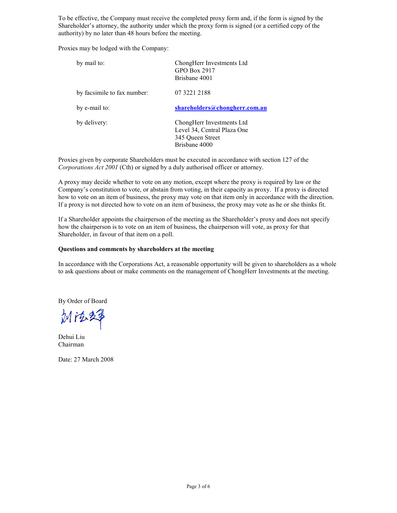To be effective, the Company must receive the completed proxy form and, if the form is signed by the Shareholder's attorney, the authority under which the proxy form is signed (or a certified copy of the authority) by no later than 48 hours before the meeting.

Proxies may be lodged with the Company:

| by mail to:                 | ChongHerr Investments Ltd<br>GPO Box 2917<br>Brisbane 4001                                    |
|-----------------------------|-----------------------------------------------------------------------------------------------|
| by facsimile to fax number: | 07 3221 2188                                                                                  |
| by e-mail to:               | shareholders@chongherr.com.au                                                                 |
| by delivery:                | ChongHerr Investments Ltd<br>Level 34, Central Plaza One<br>345 Queen Street<br>Brisbane 4000 |

Proxies given by corporate Shareholders must be executed in accordance with section 127 of the Corporations Act 2001 (Cth) or signed by a duly authorised officer or attorney.

A proxy may decide whether to vote on any motion, except where the proxy is required by law or the Company's constitution to vote, or abstain from voting, in their capacity as proxy. If a proxy is directed how to vote on an item of business, the proxy may vote on that item only in accordance with the direction. If a proxy is not directed how to vote on an item of business, the proxy may vote as he or she thinks fit.

If a Shareholder appoints the chairperson of the meeting as the Shareholder's proxy and does not specify how the chairperson is to vote on an item of business, the chairperson will vote, as proxy for that Shareholder, in favour of that item on a poll.

## Questions and comments by shareholders at the meeting

In accordance with the Corporations Act, a reasonable opportunity will be given to shareholders as a whole to ask questions about or make comments on the management of ChongHerr Investments at the meeting.

By Order of Board

Mit&2\$

Dehui Liu Chairman

Date: 27 March 2008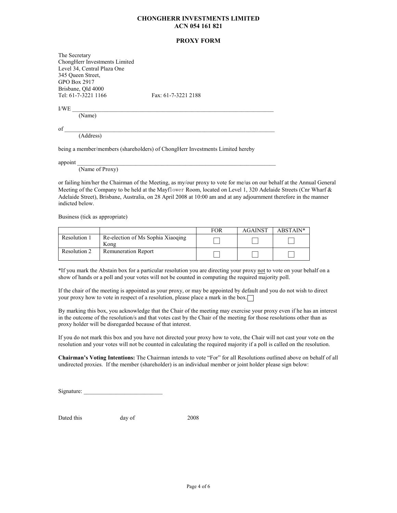### CHONGHERR INVESTMENTS LIMITED ACN 054 161 821

### PROXY FORM

The Secretary ChongHerr Investments Limited Level 34, Central Plaza One 345 Queen Street, GPO Box 2917 Brisbane, Qld 4000<br>Tel: 61-7-3221 1166

Fax: 61-7-3221 2188

 $\text{I/WE}$   $\blacksquare$ 

(Name)

 $\text{of }$ (Address)

being a member/members (shareholders) of ChongHerr Investments Limited hereby

 $\Delta p$  appoint  $\Delta p$ 

(Name of Proxy)

or failing him/her the Chairman of the Meeting, as my/our proxy to vote for me/us on our behalf at the Annual General Meeting of the Company to be held at the Mayflower Room, located on Level 1, 320 Adelaide Streets (Cnr Wharf & Adelaide Street), Brisbane, Australia, on 28 April 2008 at 10:00 am and at any adjournment therefore in the manner indicted below.

Business (tick as appropriate)

|              |                                           | <b>FOR</b> | <b>AGAINST</b> | ABSTAIN* |
|--------------|-------------------------------------------|------------|----------------|----------|
| Resolution 1 | Re-election of Ms Sophia Xiaoging<br>Kong |            |                |          |
| Resolution 2 | <b>Remuneration Report</b>                |            |                |          |

\*If you mark the Abstain box for a particular resolution you are directing your proxy not to vote on your behalf on a show of hands or a poll and your votes will not be counted in computing the required majority poll.

If the chair of the meeting is appointed as your proxy, or may be appointed by default and you do not wish to direct your proxy how to vote in respect of a resolution, please place a mark in the box.

By marking this box, you acknowledge that the Chair of the meeting may exercise your proxy even if he has an interest in the outcome of the resolution/s and that votes cast by the Chair of the meeting for those resolutions other than as proxy holder will be disregarded because of that interest.

If you do not mark this box and you have not directed your proxy how to vote, the Chair will not cast your vote on the resolution and your votes will not be counted in calculating the required majority if a poll is called on the resolution.

Chairman's Voting Intentions: The Chairman intends to vote "For" for all Resolutions outlined above on behalf of all undirected proxies. If the member (shareholder) is an individual member or joint holder please sign below:

Signature:

Dated this day of 2008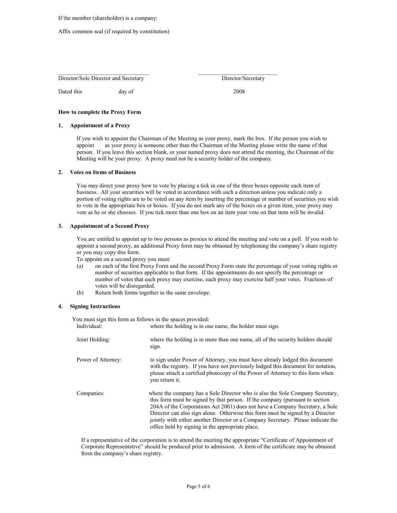If the member (shareholder) is a company:

#### Affix common seal (if required by constitution)

Director/Sole Director and Secretary Director/Secretary Director/Secretary

Dated this day of 2008

How to complete the Proxy Form

#### 1. Appointment of a Proxy

If you wish to appoint the Chairman of the Meeting as your proxy, mark the box. If the person you wish to appoint as your proxy is someone other than the Chairman of the Meeting please write the name of that person. If you leave this section blank, or your named proxy does not attend the meeting, the Chairman of the Meeting will be your proxy. A proxy need not be a security holder of the company.

#### 2. Votes on Items of Business

You may direct your proxy how to vote by placing a tick in one of the three boxes opposite each item of business. All your securities will be voted in accordance with such a direction unless you indicate only a portion of voting rights are to be voted on any item by inserting the percentage or number of securities you wish to vote in the appropriate box or boxes. If you do not mark any of the boxes on a given item, your proxy may vote as he or she chooses. If you tick more than one box on an item your vote on that item will be invalid.

#### 3. Appointment of a Second Proxy

You are entitled to appoint up to two persons as proxies to attend the meeting and vote on a poll. If you wish to appoint a second proxy, an additional Proxy form may be obtained by telephoning the company's share registry or you may copy this form.

To appoint on a second proxy you must:

- (a) on each of the first Proxy Form and the second Proxy Form state the percentage of your voting rights or number of securities applicable to that form. If the appointments do not specify the percentage or number of votes that each proxy may exercise, each proxy may exercise half your votes. Fractions of votes will be disregarded.
- (b) Return both forms together in the same envelope.

#### 4. Signing Instructions

You must sign this form as follows in the spaces provided:

| Individual:        | where the holding is in one name, the holder must sign.                                                                                                                                                                                                                                                                                                                                                                                                                 |
|--------------------|-------------------------------------------------------------------------------------------------------------------------------------------------------------------------------------------------------------------------------------------------------------------------------------------------------------------------------------------------------------------------------------------------------------------------------------------------------------------------|
| Joint Holding:     | where the holding is in more than one name, all of the security holders should<br>sign.                                                                                                                                                                                                                                                                                                                                                                                 |
| Power of Attorney: | to sign under Power of Attorney, you must have already lodged this document<br>with the registry. If you have not previously lodged this document for notation,<br>please attach a certified photocopy of the Power of Attorney to this form when<br>vou return it.                                                                                                                                                                                                     |
| Companies:         | where the company has a Sole Director who is also the Sole Company Secretary,<br>this form must be signed by that person. If the company (pursuant to section<br>204A of the Corporations Act 2001) does not have a Company Secretary, a Sole<br>Director can also sign alone. Otherwise this form must be signed by a Director<br>jointly with either another Director or a Company Secretary. Please indicate the<br>office held by signing in the appropriate place. |

If a representative of the corporation is to attend the meeting the appropriate "Certificate of Appointment of Corporate Representative" should be produced prior to admission. A form of the certificate may be obtained from the company's share registry.